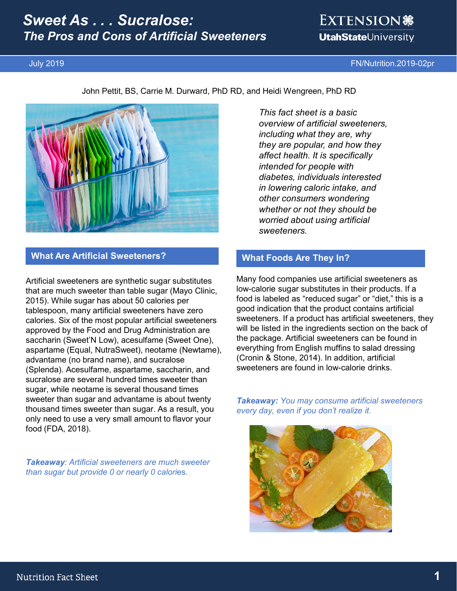# *Sweet As . . . Sucralose: The Pros and Cons of Artificial Sweeteners*

# EXTENSION \$ **UtahState**University

July 2019 FN/Nutrition.2019-02pr

John Pettit, BS, Carrie M. Durward, PhD RD, and Heidi Wengreen, PhD RD



### **What Are Artificial Sweeteners?**

Artificial sweeteners are synthetic sugar substitutes that are much sweeter than table sugar (Mayo Clinic, 2015). While sugar has about 50 calories per tablespoon, many artificial sweeteners have zero calories. Six of the most popular artificial sweeteners approved by the Food and Drug Administration are saccharin (Sweet'N Low), acesulfame (Sweet One), aspartame (Equal, NutraSweet), neotame (Newtame), advantame (no brand name), and sucralose (Splenda). Acesulfame, aspartame, saccharin, and sucralose are several hundred times sweeter than sugar, while neotame is several thousand times sweeter than sugar and advantame is about twenty thousand times sweeter than sugar. As a result, you only need to use a very small amount to flavor your food (FDA, 2018).

*Takeaway: Artificial sweeteners are much sweeter than sugar but provide 0 or nearly 0 calori*es.

*This fact sheet is a basic overview of artificial sweeteners, including what they are, why they are popular, and how they affect health. It is specifically intended for people with diabetes, individuals interested in lowering caloric intake, and other consumers wondering whether or not they should be worried about using artificial sweeteners.*

# **What Foods Are They In?**

Many food companies use artificial sweeteners as low-calorie sugar substitutes in their products. If a food is labeled as "reduced sugar" or "diet," this is a good indication that the product contains artificial sweeteners. If a product has artificial sweeteners, they will be listed in the ingredients section on the back of the package. Artificial sweeteners can be found in everything from English muffins to salad dressing (Cronin & Stone, 2014). In addition, artificial sweeteners are found in low-calorie drinks.

*Takeaway: You may consume artificial sweeteners every day, even if you don't realize it.*

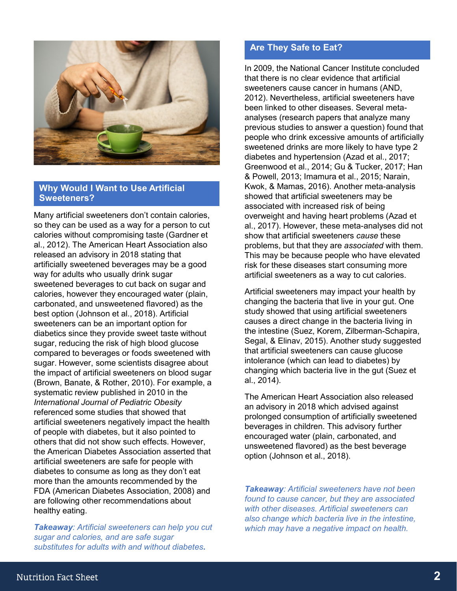

#### **Why Would I Want to Use Artificial Sweeteners?**

Many artificial sweeteners don't contain calories, so they can be used as a way for a person to cut calories without compromising taste (Gardner et al., 2012). The American Heart Association also released an advisory in 2018 stating that artificially sweetened beverages may be a good way for adults who usually drink sugar sweetened beverages to cut back on sugar and calories, however they encouraged water (plain, carbonated, and unsweetened flavored) as the best option (Johnson et al., 2018). Artificial sweeteners can be an important option for diabetics since they provide sweet taste without sugar, reducing the risk of high blood glucose compared to beverages or foods sweetened with sugar. However, some scientists disagree about the impact of artificial sweeteners on blood sugar (Brown, Banate, & Rother, 2010). For example, a systematic review published in 2010 in the *International Journal of Pediatric Obesity* referenced some studies that showed that artificial sweeteners negatively impact the health of people with diabetes, but it also pointed to others that did not show such effects. However, the American Diabetes Association asserted that artificial sweeteners are safe for people with diabetes to consume as long as they don't eat more than the amounts recommended by the FDA (American Diabetes Association, 2008) and are following other recommendations about healthy eating.

*Takeaway: Artificial sweeteners can help you cut sugar and calories, and are safe sugar substitutes for adults with and without diabetes***.**

### **Are They Safe to Eat?**

In 2009, the National Cancer Institute concluded that there is no clear evidence that artificial sweeteners cause cancer in humans (AND, 2012). Nevertheless, artificial sweeteners have been linked to other diseases. Several metaanalyses (research papers that analyze many previous studies to answer a question) found that people who drink excessive amounts of artificially sweetened drinks are more likely to have type 2 diabetes and hypertension (Azad et al., 2017; Greenwood et al., 2014; Gu & Tucker, 2017; Han & Powell, 2013; Imamura et al., 2015; Narain, Kwok, & Mamas, 2016). Another meta-analysis showed that artificial sweeteners may be associated with increased risk of being overweight and having heart problems (Azad et al., 2017). However, these meta-analyses did not show that artificial sweeteners *cause* these problems, but that they are *associated* with them. This may be because people who have elevated risk for these diseases start consuming more artificial sweeteners as a way to cut calories.

Artificial sweeteners may impact your health by changing the bacteria that live in your gut. One study showed that using artificial sweeteners causes a direct change in the bacteria living in the intestine (Suez, Korem, Zilberman-Schapira, Segal, & Elinav, 2015). Another study suggested that artificial sweeteners can cause glucose intolerance (which can lead to diabetes) by changing which bacteria live in the gut (Suez et al., 2014).

The American Heart Association also released an advisory in 2018 which advised against prolonged consumption of artificially sweetened beverages in children. This advisory further encouraged water (plain, carbonated, and unsweetened flavored) as the best beverage option (Johnson et al., 2018).

*Takeaway: Artificial sweeteners have not been found to cause cancer, but they are associated with other diseases. Artificial sweeteners can also change which bacteria live in the intestine, which may have a negative impact on health.*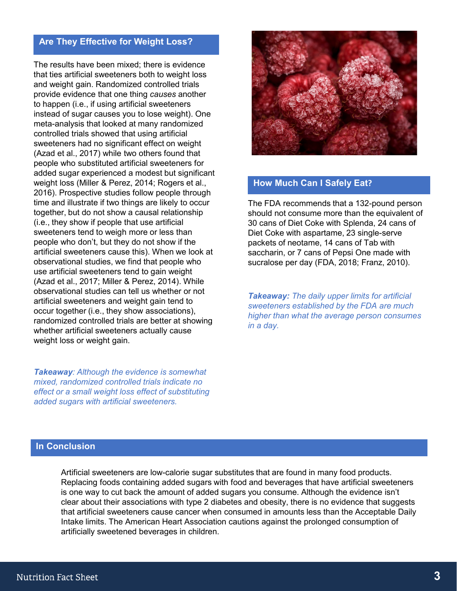## **Are They Effective for Weight Loss?**

The results have been mixed; there is evidence that ties artificial sweeteners both to weight loss and weight gain. Randomized controlled trials provide evidence that one thing *causes* another to happen (i.e., if using artificial sweeteners instead of sugar causes you to lose weight). One meta-analysis that looked at many randomized controlled trials showed that using artificial sweeteners had no significant effect on weight (Azad et al., 2017) while two others found that people who substituted artificial sweeteners for added sugar experienced a modest but significant weight loss (Miller & Perez, 2014; Rogers et al., 2016). Prospective studies follow people through time and illustrate if two things are likely to occur together, but do not show a causal relationship (i.e., they show if people that use artificial sweeteners tend to weigh more or less than people who don't, but they do not show if the artificial sweeteners cause this). When we look at observational studies, we find that people who use artificial sweeteners tend to gain weight (Azad et al., 2017; Miller & Perez, 2014). While observational studies can tell us whether or not artificial sweeteners and weight gain tend to occur together (i.e., they show associations), randomized controlled trials are better at showing whether artificial sweeteners actually cause weight loss or weight gain.

*Takeaway: Although the evidence is somewhat mixed, randomized controlled trials indicate no effect or a small weight loss effect of substituting added sugars with artificial sweeteners.* 



### **How Much Can I Safely Eat?**

The FDA recommends that a 132-pound person should not consume more than the equivalent of 30 cans of Diet Coke with Splenda, 24 cans of Diet Coke with aspartame, 23 single-serve packets of neotame, 14 cans of Tab with saccharin, or 7 cans of Pepsi One made with sucralose per day (FDA, 2018; Franz, 2010).

*Takeaway: The daily upper limits for artificial sweeteners established by the FDA are much higher than what the average person consumes in a day.*

#### **In Conclusion**

Artificial sweeteners are low-calorie sugar substitutes that are found in many food products. Replacing foods containing added sugars with food and beverages that have artificial sweeteners is one way to cut back the amount of added sugars you consume. Although the evidence isn't clear about their associations with type 2 diabetes and obesity, there is no evidence that suggests that artificial sweeteners cause cancer when consumed in amounts less than the Acceptable Daily Intake limits. The American Heart Association cautions against the prolonged consumption of artificially sweetened beverages in children.